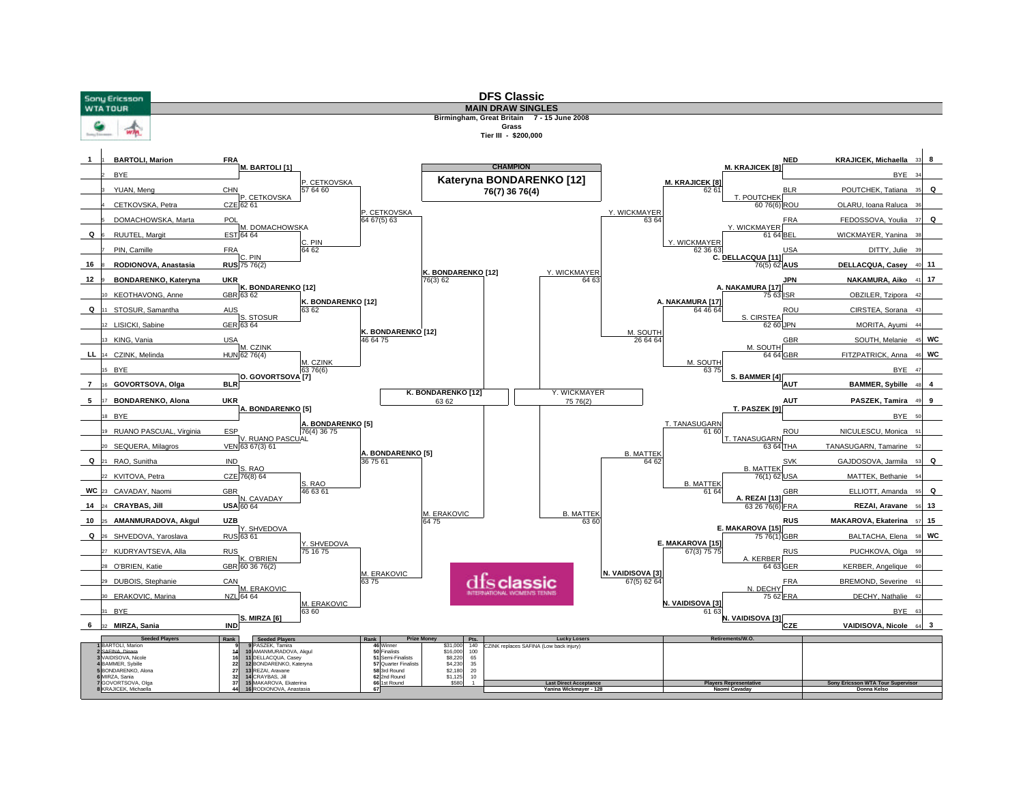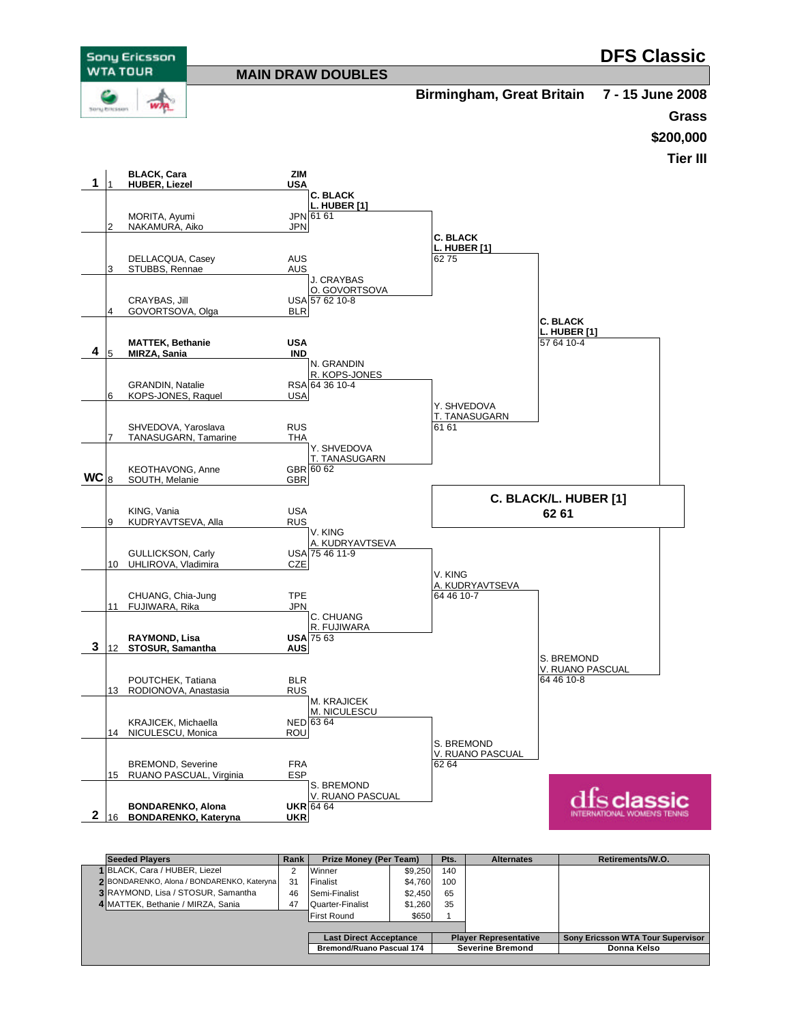

| <b>Seeded Players</b>                      |    | Prize Money (Per Team)           |         | Pts.                         | <b>Alternates</b> | Retirements/W.O.                  |
|--------------------------------------------|----|----------------------------------|---------|------------------------------|-------------------|-----------------------------------|
| 1 BLACK, Cara / HUBER, Liezel              |    | Winner                           | \$9,250 | 140                          |                   |                                   |
| 2 BONDARENKO, Alona / BONDARENKO, Kateryna | 31 | Finalist                         | \$4.760 | 100                          |                   |                                   |
| 3 RAYMOND, Lisa / STOSUR, Samantha         | 46 | Semi-Finalist                    | \$2.450 | 65                           |                   |                                   |
| 4 MATTEK, Bethanie / MIRZA, Sania          | 47 | Quarter-Finalist                 | \$1,260 | 35                           |                   |                                   |
|                                            |    | <b>First Round</b>               | \$650   |                              |                   |                                   |
|                                            |    |                                  |         |                              |                   |                                   |
|                                            |    | <b>Last Direct Acceptance</b>    |         | <b>Player Representative</b> |                   | Sony Ericsson WTA Tour Supervisor |
|                                            |    | <b>Bremond/Ruano Pascual 174</b> |         | <b>Severine Bremond</b>      |                   | Donna Kelso                       |
|                                            |    |                                  |         |                              |                   |                                   |